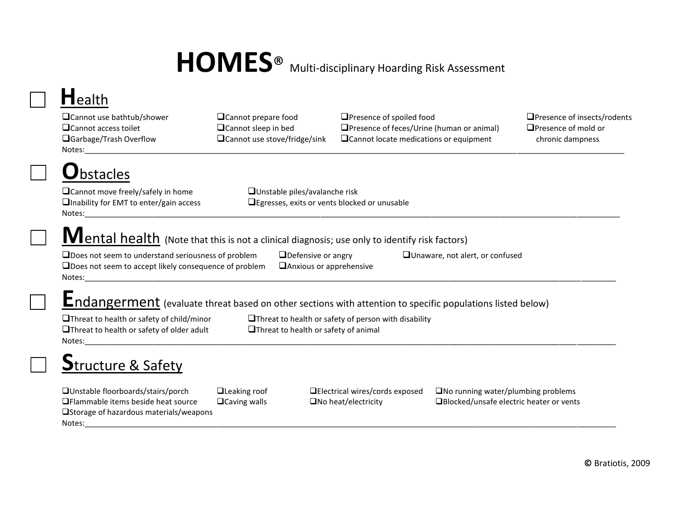# HOMES<sup>®</sup> Multi-disciplinary Hoarding Risk Assessment

## **H**ealth

Notes:\_\_\_\_\_\_\_\_\_\_\_\_\_\_\_\_\_\_\_\_\_\_\_\_\_\_\_\_\_\_\_\_\_\_\_\_\_\_\_\_\_\_\_\_\_\_\_\_\_\_\_\_\_\_\_\_\_\_\_\_\_\_\_\_\_\_\_\_\_\_\_\_\_\_\_\_\_\_\_\_\_\_\_\_\_\_\_\_\_\_\_\_\_\_\_\_\_\_\_\_\_\_\_\_\_\_\_\_\_\_\_\_\_\_\_\_\_\_\_\_\_\_\_\_\_\_

Cannot use bathtub/shower Cannot prepare food Presence of spoiled food Presence of insects/rodents Cannot access toilet Cannot sleep in bed Presence of feces/Urine (human or animal) Presence of mold or  $\Box$ Garbage/Trash Overflow  $\Box$ Cannot use stove/fridge/sink  $\Box$ Cannot locate medications or equipment chronic dampness

# **b**stacles

Notes:\_\_\_\_\_\_\_\_\_\_\_\_\_\_\_\_\_\_\_\_\_\_\_\_\_\_\_\_\_\_\_\_\_\_\_\_\_\_\_\_\_\_\_\_\_\_\_\_\_\_\_\_\_\_\_\_\_\_\_\_\_\_\_\_\_\_\_\_\_\_\_\_\_\_\_\_\_\_\_\_\_\_\_\_\_\_\_\_\_\_\_\_\_\_\_\_\_\_\_\_\_\_\_\_\_\_\_\_\_\_\_\_\_\_\_\_\_\_\_\_\_\_\_\_\_

 $\Box$ Cannot move freely/safely in home  $\Box$ Unstable piles/avalanche risk **Thability for EMT to enter/gain access**  $\qquad \qquad \Box$  Egresses, exits or vents blocked or unusable

### **M**ental health (Note that this is not a clinical diagnosis; use only to identify risk factors)

 $\Box$ Does not seem to understand seriousness of problem  $\Box$ Defensive or angry  $\Box$ Unaware, not alert, or confused  $\Box$  Does not seem to accept likely consequence of problem  $\Box$  Anxious or apprehensive Notes:\_\_\_\_\_\_\_\_\_\_\_\_\_\_\_\_\_\_\_\_\_\_\_\_\_\_\_\_\_\_\_\_\_\_\_\_\_\_\_\_\_\_\_\_\_\_\_\_\_\_\_\_\_\_\_\_\_\_\_\_\_\_\_\_\_\_\_\_\_\_\_\_\_\_\_\_\_\_\_\_\_\_\_\_\_\_\_\_\_\_\_\_\_\_\_\_\_\_\_\_\_\_\_\_\_\_\_\_\_\_\_\_\_\_\_\_\_\_\_\_\_\_\_\_

### **E**ndangerment (evaluate threat based on other sections with attention to specific populations listed below)

 $\Box$ Threat to health or safety of older adult  $\Box$ Threat to health or safety of animal Notes:\_\_\_\_\_\_\_\_\_\_\_\_\_\_\_\_\_\_\_\_\_\_\_\_\_\_\_\_\_\_\_\_\_\_\_\_\_\_\_\_\_\_\_\_\_\_\_\_\_\_\_\_\_\_\_\_\_\_\_\_\_\_\_\_\_\_\_\_\_\_\_\_\_\_\_\_\_\_\_\_\_\_\_\_\_\_\_\_\_\_\_\_\_\_\_\_\_\_\_\_\_\_\_\_\_\_\_\_\_\_\_\_\_\_\_\_\_\_\_\_\_\_\_\_

 $\Box$ Threat to health or safety of child/minor  $\Box$ Threat to health or safety of person with disability

## **S**tructure & Safety

 $\square$ Unstable floorboards/stairs/porch  $\square$ Leaking roof  $\square$ Electrical wires/cords exposed  $\square$ No running water/plumbing problems  $\Box$ Flammable items beside heat source  $\Box$ Caving walls  $\Box$ No heat/electricity  $\Box$ Blocked/unsafe electric heater or vents □Storage of hazardous materials/weapons Notes: where  $\blacksquare$ 

 **©** Bratiotis, 2009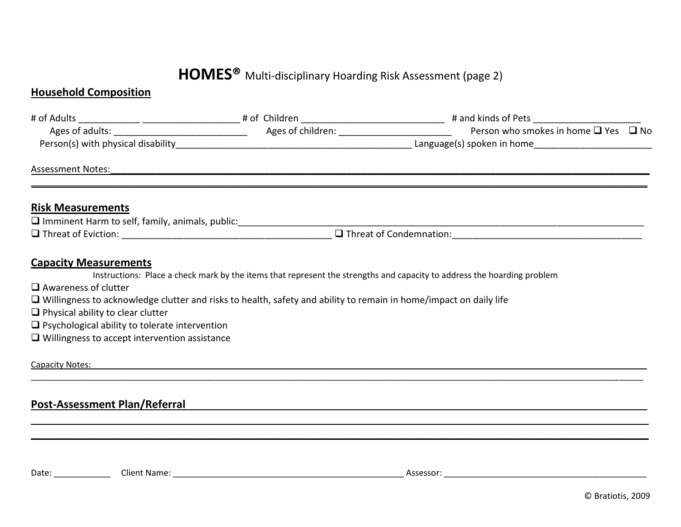#### **HOMES®** Multi-disciplinary Hoarding Risk Assessment (page 2)

#### **Household Composition**

|                                                                                                                                                                                                                                                                                                                                                      |  | Person who smokes in home $\Box$ Yes $\Box$ No                                                                          |
|------------------------------------------------------------------------------------------------------------------------------------------------------------------------------------------------------------------------------------------------------------------------------------------------------------------------------------------------------|--|-------------------------------------------------------------------------------------------------------------------------|
|                                                                                                                                                                                                                                                                                                                                                      |  |                                                                                                                         |
| <b>Assessment Notes:</b>                                                                                                                                                                                                                                                                                                                             |  |                                                                                                                         |
| <b>Risk Measurements</b>                                                                                                                                                                                                                                                                                                                             |  |                                                                                                                         |
|                                                                                                                                                                                                                                                                                                                                                      |  |                                                                                                                         |
|                                                                                                                                                                                                                                                                                                                                                      |  |                                                                                                                         |
| <b>Capacity Measurements</b><br>$\Box$ Awareness of clutter<br>$\Box$ Willingness to acknowledge clutter and risks to health, safety and ability to remain in home/impact on daily life<br>$\Box$ Physical ability to clear clutter<br>$\Box$ Psychological ability to tolerate intervention<br>$\Box$ Willingness to accept intervention assistance |  | Instructions: Place a check mark by the items that represent the strengths and capacity to address the hoarding problem |
| Capacity Notes:                                                                                                                                                                                                                                                                                                                                      |  | <u> 1989 - Jan James James Jan James James James James James James James James James James James James James Ja</u>     |
| <b>Post-Assessment Plan/Referral</b>                                                                                                                                                                                                                                                                                                                 |  |                                                                                                                         |

Date: \_\_\_\_\_\_\_\_\_\_\_\_ Client Name: \_\_\_\_\_\_\_\_\_\_\_\_\_\_\_\_\_\_\_\_\_\_\_\_\_\_\_\_\_\_\_\_\_\_\_\_\_\_\_\_\_\_\_\_\_\_\_\_\_ Assessor: \_\_\_\_\_\_\_\_\_\_\_\_\_\_\_\_\_\_\_\_\_\_\_\_\_\_\_\_\_\_\_\_\_\_\_\_\_\_\_\_\_\_\_